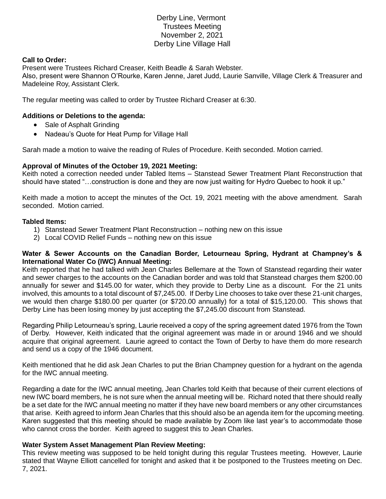# Derby Line, Vermont Trustees Meeting November 2, 2021 Derby Line Village Hall

### **Call to Order:**

Present were Trustees Richard Creaser, Keith Beadle & Sarah Webster. Also, present were Shannon O'Rourke, Karen Jenne, Jaret Judd, Laurie Sanville, Village Clerk & Treasurer and Madeleine Roy, Assistant Clerk.

The regular meeting was called to order by Trustee Richard Creaser at 6:30.

### **Additions or Deletions to the agenda:**

- Sale of Asphalt Grinding
- Nadeau's Quote for Heat Pump for Village Hall

Sarah made a motion to waive the reading of Rules of Procedure. Keith seconded. Motion carried.

### **Approval of Minutes of the October 19, 2021 Meeting:**

Keith noted a correction needed under Tabled Items – Stanstead Sewer Treatment Plant Reconstruction that should have stated "…construction is done and they are now just waiting for Hydro Quebec to hook it up."

Keith made a motion to accept the minutes of the Oct. 19, 2021 meeting with the above amendment. Sarah seconded. Motion carried.

#### **Tabled Items:**

- 1) Stanstead Sewer Treatment Plant Reconstruction nothing new on this issue
- 2) Local COVID Relief Funds nothing new on this issue

### **Water & Sewer Accounts on the Canadian Border, Letourneau Spring, Hydrant at Champney's & International Water Co (IWC) Annual Meeting:**

Keith reported that he had talked with Jean Charles Bellemare at the Town of Stanstead regarding their water and sewer charges to the accounts on the Canadian border and was told that Stanstead charges them \$200.00 annually for sewer and \$145.00 for water, which they provide to Derby Line as a discount. For the 21 units involved, this amounts to a total discount of \$7,245.00. If Derby Line chooses to take over these 21-unit charges, we would then charge \$180.00 per quarter (or \$720.00 annually) for a total of \$15,120.00. This shows that Derby Line has been losing money by just accepting the \$7,245.00 discount from Stanstead.

Regarding Philip Letourneau's spring, Laurie received a copy of the spring agreement dated 1976 from the Town of Derby. However, Keith indicated that the original agreement was made in or around 1946 and we should acquire that original agreement. Laurie agreed to contact the Town of Derby to have them do more research and send us a copy of the 1946 document.

Keith mentioned that he did ask Jean Charles to put the Brian Champney question for a hydrant on the agenda for the IWC annual meeting.

Regarding a date for the IWC annual meeting, Jean Charles told Keith that because of their current elections of new IWC board members, he is not sure when the annual meeting will be. Richard noted that there should really be a set date for the IWC annual meeting no matter if they have new board members or any other circumstances that arise. Keith agreed to inform Jean Charles that this should also be an agenda item for the upcoming meeting. Karen suggested that this meeting should be made available by Zoom like last year's to accommodate those who cannot cross the border. Keith agreed to suggest this to Jean Charles.

#### **Water System Asset Management Plan Review Meeting:**

This review meeting was supposed to be held tonight during this regular Trustees meeting. However, Laurie stated that Wayne Elliott cancelled for tonight and asked that it be postponed to the Trustees meeting on Dec. 7, 2021.